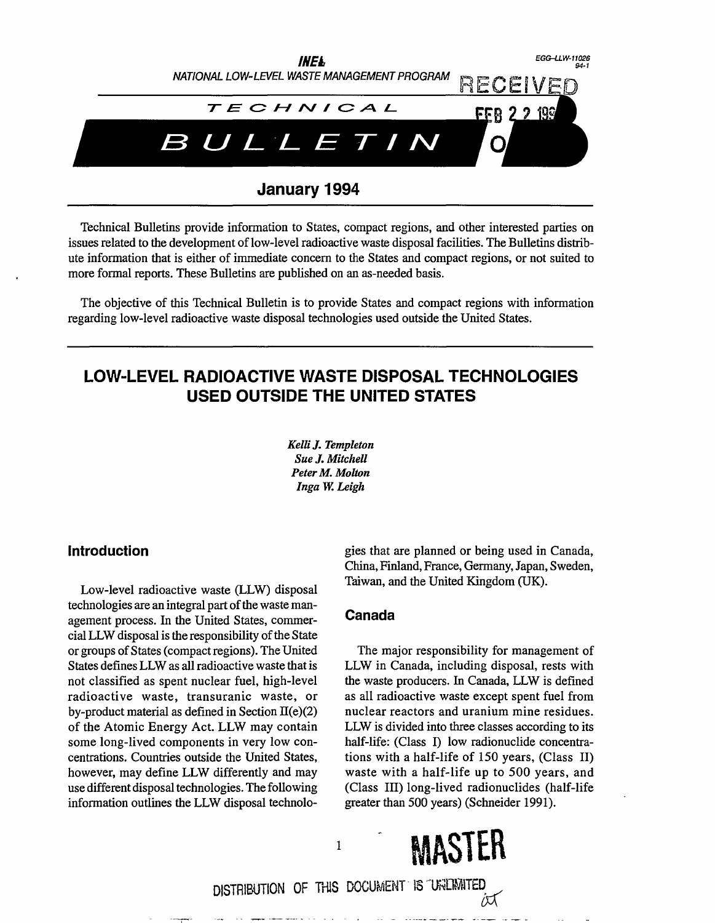

Technical Bulletins provide information to States, compact regions, and other interested parties on issues related to the development of low-level radioactive waste disposal facilities. The Bulletins distribute information that is either of immediate concern to the States and compact regions, or not suited to

more formal reports. These Bulletins are published on an as-needed basis.

The objective of this Technical Bulletin is to provide States and compact regions with information regarding low-level radioactive waste disposal technologies used outside the United States.

# **LOW-LEVEL RADIOACTIVE WASTE DISPOSAL TECHNOLOGIES USED OUTSIDE THE UNITED STATES**

*KelliJ. Templeton Sue J. Mitchell Peter M. Motion Inga W. Leigh* 

## **Introduction**

Low-level radioactive waste (LLW) disposal technologies are an integral part of the waste management process. In the United States, commercial LLW disposal is the responsibility of the State or groups of States (compact regions). The United States defines LLW as all radioactive waste that is not classified as spent nuclear fuel, high-level radioactive waste, transuranic waste, or by-product material as defined in Section  $II(e)(2)$ of the Atomic Energy Act. LLW may contain some long-lived components in very low concentrations. Countries outside the United States, however, may define LLW differently and may use different disposal technologies. The following information outlines the LLW disposal technologies that are planned or being used in Canada, China, Finland, France, Germany, Japan, Sweden, Taiwan, and the United Kingdom (UK).

#### **Canada**

The major responsibility for management of LLW in Canada, including disposal, rests with the waste producers. In Canada, LLW is defined as all radioactive waste except spent fuel from nuclear reactors and uranium mine residues. LLW is divided into three classes according to its half-life: (Class I) low radionuclide concentrations with a half-life of 150 years, (Class II) waste with a half-life up to 500 years, and (Class III) long-lived radionuclides (half-life greater than 500 years) (Schneider 1991).



*bX* 

DISTRIBUTION OF THIS DOCUMENT IS UNLIMITED

 $\mathbf{1}$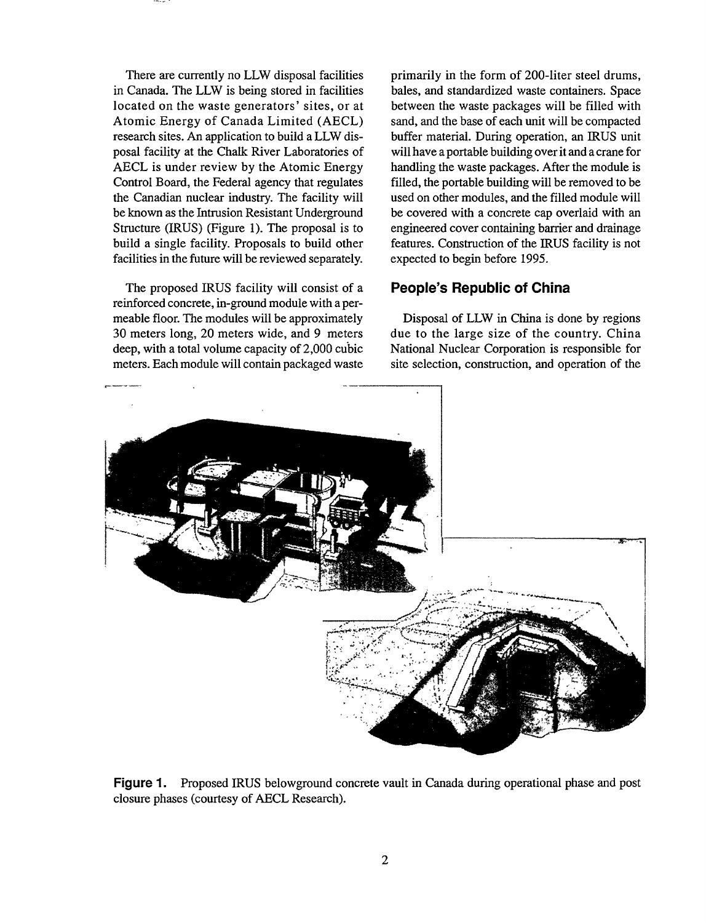There are currently no LLW disposal facilities in Canada. The LLW is being stored in facilities located on the waste generators' sites, or at Atomic Energy of Canada Limited (AECL) research sites. An application to build a LLW disposal facility at the Chalk River Laboratories of AECL is under review by the Atomic Energy Control Board, the Federal agency that regulates the Canadian nuclear industry. The facility will be known as the Intrusion Resistant Underground Structure (IRUS) (Figure 1). The proposal is to build a single facility. Proposals to build other facilities in the future will be reviewed separately.

The proposed IRUS facility will consist of a reinforced concrete, in-ground module with a permeable floor. The modules will be approximately 30 meters long, 20 meters wide, and 9 meters deep, with a total volume capacity of 2,000 cubic meters. Each module will contain packaged waste

primarily in the form of 200-liter steel drums, bales, and standardized waste containers. Space between the waste packages will be filled with sand, and the base of each unit will be compacted buffer material. During operation, an IRUS unit will have a portable building over it and a crane for handling the waste packages. After the module is filled, the portable building will be removed to be used on other modules, and the filled module will be covered with a concrete cap overlaid with an engineered cover containing barrier and drainage features. Construction of the IRUS facility is not expected to begin before 1995.

## **People's Republic of China**

Disposal of LLW in China is done by regions due to the large size of the country. China National Nuclear Corporation is responsible for site selection, construction, and operation of the



**Figure 1**. Proposed IRUS belowground concrete vault in Canada during operational phase and post closure phases (courtesy of AECL Research).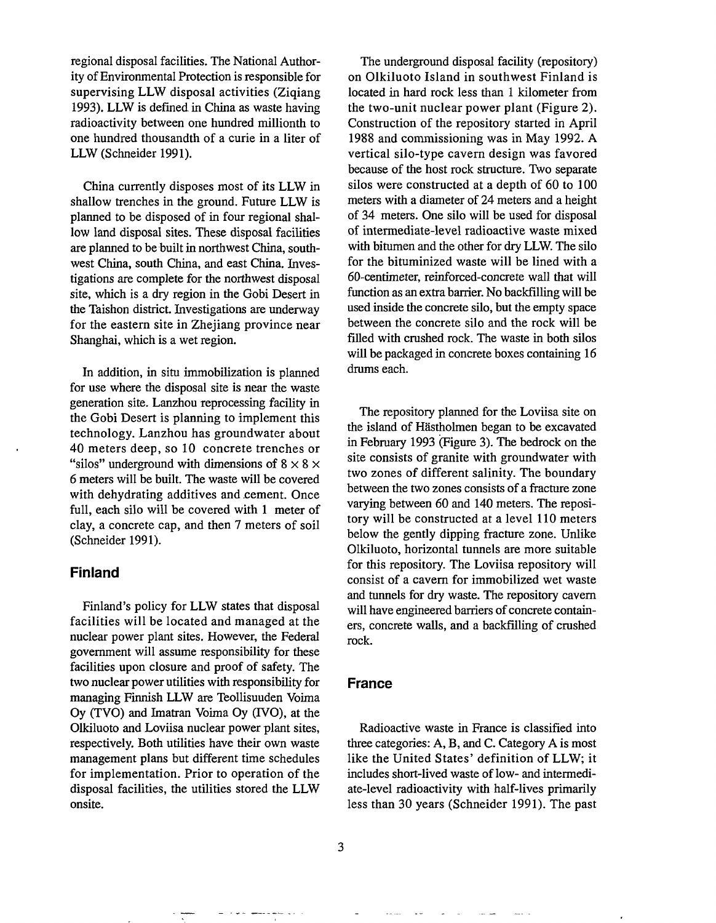regional disposal facilities. The National Authority of Environmental Protection is responsible for supervising LLW disposal activities (Ziqiang 1993). LLW is defined in China as waste having radioactivity between one hundred millionth to one hundred thousandth of a curie in a liter of LLW (Schneider 1991).

China currently disposes most of its LLW in shallow trenches in the ground. Future LLW is planned to be disposed of in four regional shallow land disposal sites. These disposal facilities are planned to be built in northwest China, southwest China, south China, and east China. Investigations are complete for the northwest disposal site, which is a dry region in the Gobi Desert in the Taishon district. Investigations are underway for the eastern site in Zhejiang province near Shanghai, which is a wet region.

In addition, in situ immobilization is planned for use where the disposal site is near the waste generation site. Lanzhou reprocessing facility in the Gobi Desert is planning to implement this technology. Lanzhou has groundwater about 40 meters deep, so 10 concrete trenches or "silos" underground with dimensions of  $8 \times 8 \times$ 6 meters will be built. The waste will be covered with dehydrating additives and cement. Once full, each silo will be covered with 1 meter of clay, a concrete cap, and then 7 meters of soil (Schneider 1991).

#### Finland

Finland's policy for LLW states that disposal facilities will be located and managed at the nuclear power plant sites. However, the Federal government will assume responsibility for these facilities upon closure and proof of safety. The two nuclear power utilities with responsibility for managing Finnish LLW are Teollisuuden Voima Oy (TVO) and Imatran Voima Oy (TVO), at the Olkiluoto and Loviisa nuclear power plant sites, respectively. Both utilities have their own waste management plans but different time schedules for implementation. Prior to operation of the disposal facilities, the utilities stored the LLW onsite.

يتعابد ومستنها الداعواء المنا

The underground disposal facility (repository) on Olkiluoto Island in southwest Finland is located in hard rock less than 1 kilometer from the two-unit nuclear power plant (Figure 2). Construction of the repository started in April 1988 and commissioning was in May 1992. A vertical silo-type cavern design was favored because of the host rock structure. Two separate silos were constructed at a depth of 60 to 100 meters with a diameter of 24 meters and a height of 34 meters. One silo will be used for disposal of intermediate-level radioactive waste mixed with bitumen and the other for dry LLW. The silo for the bituminized waste will be lined with a 60-centimeter, reinforced-concrete wall that will function as an extra barrier. No backfilling will be used inside the concrete silo, but the empty space between the concrete silo and the rock will be filled with crushed rock. The waste in both silos will be packaged in concrete boxes containing 16 drums each.

The repository planned for the Loviisa site on the island of Hästholmen began to be excavated in February 1993 (Figure 3). The bedrock on the site consists of granite with groundwater with two zones of different salinity. The boundary between the two zones consists of a fracture zone varying between 60 and 140 meters. The repository will be constructed at a level 110 meters below the gently dipping fracture zone. Unlike Olkiluoto, horizontal tunnels are more suitable for this repository. The Loviisa repository will consist of a cavern for immobilized wet waste and tunnels for dry waste. The repository cavern will have engineered barriers of concrete containers, concrete walls, and a backfilling of crushed rock.

#### France

Radioactive waste in France is classified into three categories: A, B, and C. Category A is most like the United States' definition of LLW; it includes short-lived waste of low- and intermediate-level radioactivity with half-lives primarily less than 30 years (Schneider 1991). The past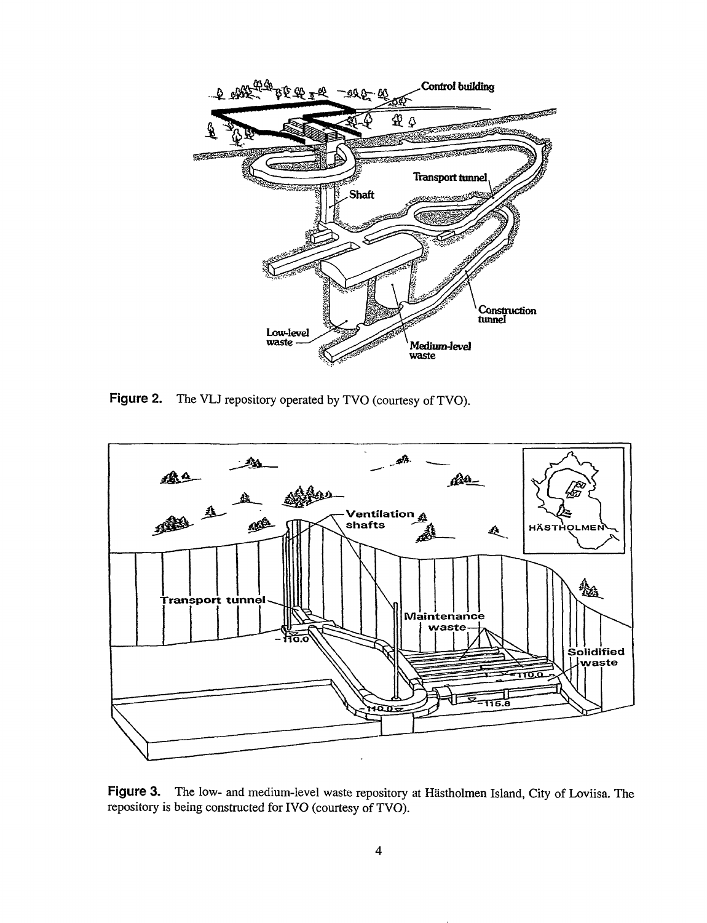

Figure 2. The VLJ repository operated by TVO (courtesy of TVO).



Figure 3. The low- and medium-level waste repository at Hästholmen Island, City of Loviisa. The repository is being constructed for IVO (courtesy of TVO).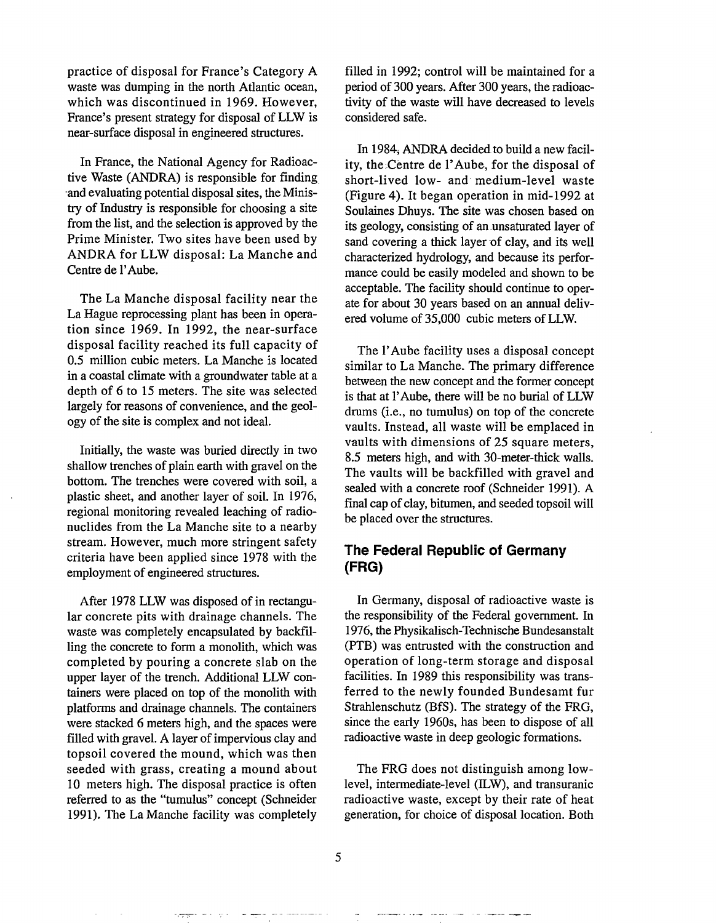practice of disposal for France's Category A waste was dumping in the north Atlantic ocean, which was discontinued in 1969. However, France's present strategy for disposal of LLW is near-surface disposal in engineered structures.

In France, the National Agency for Radioactive Waste (ANDRA) is responsible for finding and evaluating potential disposal sites, the Ministry of Industry is responsible for choosing a site from the list, and the selection is approved by the Prime Minister. Two sites have been used by ANDRA for LLW disposal: La Manche and Centre de l'Aube.

The La Manche disposal facility near the La Hague reprocessing plant has been in operation since 1969. In 1992, the near-surface disposal facility reached its full capacity of 0.5 million cubic meters. La Manche is located in a coastal climate with a groundwater table at a depth of 6 to 15 meters. The site was selected largely for reasons of convenience, and the geology of the site is complex and not ideal.

Initially, die waste was buried directly in two shallow trenches of plain earth with gravel on the bottom. The trenches were covered with soil, a plastic sheet, and another layer of soil. In 1976, regional monitoring revealed leaching of radionuclides from the La Manche site to a nearby stream. However, much more stringent safety criteria have been applied since 1978 with the employment of engineered structures.

After 1978 LLW was disposed of in rectangular concrete pits with drainage channels. The waste was completely encapsulated by backfilling the concrete to form a monolith, which was completed by pouring a concrete slab on the upper layer of the trench. Additional LLW containers were placed on top of the monolith with platforms and drainage channels. The containers were stacked 6 meters high, and the spaces were filled with gravel. A layer of impervious clay and topsoil covered the mound, which was then seeded with grass, creating a mound about 10 meters high. The disposal practice is often referred to as the "tumulus" concept (Schneider 1991). The La Manche facility was completely filled in 1992; control will be maintained for a period of 300 years. After 300 years, the radioactivity of the waste will have decreased to levels considered safe.

In 1984, ANDRA decided to build a new facility, the Centre de l'Aube, for the disposal of short-lived low- and medium-level waste (Figure 4). It began operation in mid-1992 at Soulaines Dhuys. The site was chosen based on its geology, consisting of an unsaturated layer of sand covering a thick layer of clay, and its well characterized hydrology, and because its performance could be easily modeled and shown to be acceptable. The facility should continue to operate for about 30 years based on an annual delivered volume of 35,000 cubic meters of LLW.

The l'Aube facility uses a disposal concept similar to La Manche. The primary difference between the new concept and the former concept is that at 1'Aube, there will be no burial of LLW drums (i.e., no tumulus) on top of the concrete vaults. Instead, all waste will be emplaced in vaults with dimensions of 25 square meters, 8.5 meters high, and with 30-meter-thick walls. The vaults will be backfilled with gravel and sealed with a concrete roof (Schneider 1991). A final cap of clay, bitumen, and seeded topsoil will be placed over the structures.

## **The Federal Republic of Germany (FRG)**

In Germany, disposal of radioactive waste is the responsibility of the Federal government. In 1976, the Physikalisch-Technische Bundesanstalt (PTB) was entrusted with the construction and operation of long-term storage and disposal facilities. In 1989 this responsibility was transferred to the newly founded Bundesamt fur Strahlenschutz (BfS). The strategy of the FRG, since the early 1960s, has been to dispose of all radioactive waste in deep geologic formations.

The FRG does not distinguish among lowlevel, intermediate-level (ILW), and transuranic radioactive waste, except by their rate of heat generation, for choice of disposal location. Both

**5**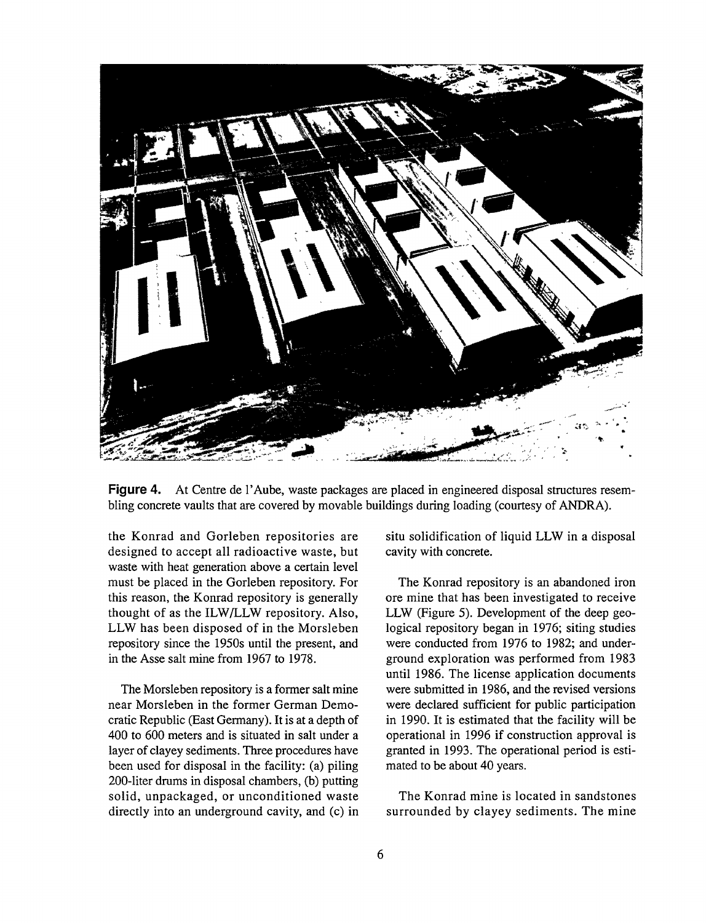

Figure 4. At Centre de l'Aube, waste packages are placed in engineered disposal structures resembling concrete vaults that are covered by movable buildings during loading (courtesy of ANDRA).

the Konrad and Gorleben repositories are designed to accept all radioactive waste, but waste with heat generation above a certain level must be placed in the Gorleben repository. For this reason, the Konrad repository is generally thought of as the ILW/LLW repository. Also, LLW has been disposed of in the Morsleben repository since the 1950s until the present, and in the Asse salt mine from 1967 to 1978.

The Morsleben repository is a former salt mine near Morsleben in the former German Democratic Republic (East Germany). It is at a depth of 400 to 600 meters and is situated in salt under a layer of clayey sediments. Three procedures have been used for disposal in the facility: (a) piling 200-liter drums in disposal chambers, (b) putting solid, unpackaged, or unconditioned waste directly into an underground cavity, and (c) in

situ solidification of liquid LLW in a disposal cavity with concrete.

The Konrad repository is an abandoned iron ore mine that has been investigated to receive LLW (Figure 5). Development of the deep geological repository began in 1976; siting studies were conducted from 1976 to 1982; and underground exploration was performed from 1983 until 1986. The license application documents were submitted in 1986, and the revised versions were declared sufficient for public participation in 1990. It is estimated that the facility will be operational in 1996 if construction approval is granted in 1993. The operational period is estimated to be about 40 years.

The Konrad mine is located in sandstones surrounded by clayey sediments. The mine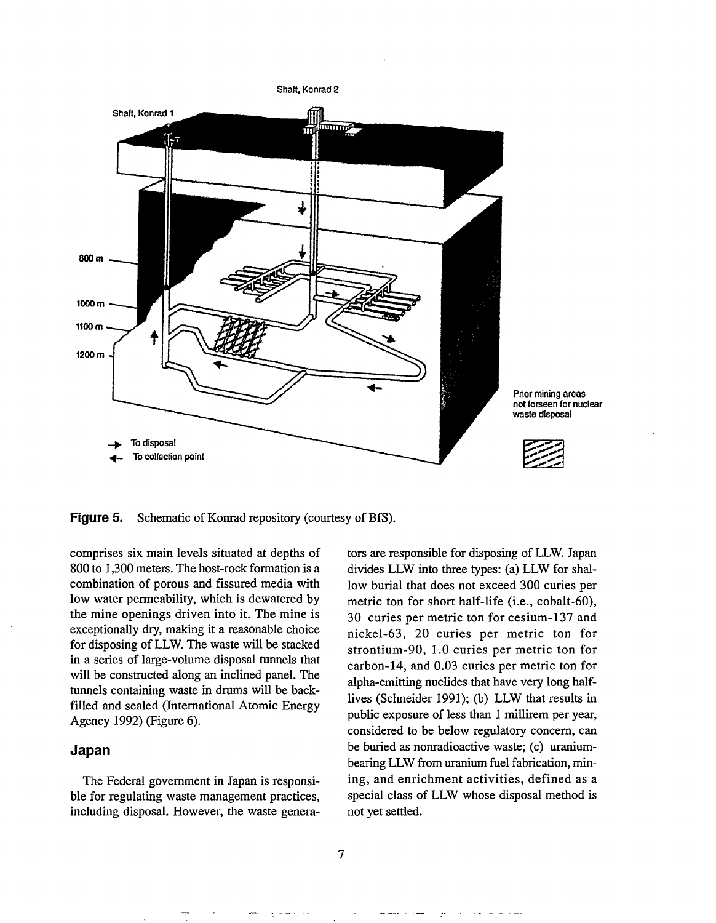

**Figure 5.** Schematic of Konrad repository (courtesy of BfS).

comprises six main levels situated at depths of 800 to 1,300 meters. The host-rock formation is a combination of porous and fissured media with low water permeability, which is dewatered by the mine openings driven into it. The mine is exceptionally dry, making it a reasonable choice for disposing of LLW. The waste will be stacked in a series of large-volume disposal tunnels that will be constructed along an inclined panel. The tunnels containing waste in drums will be backfilled and sealed (International Atomic Energy Agency 1992) (Figure 6).

#### **Japan**

The Federal government in Japan is responsible for regulating waste management practices, including disposal. However, the waste generators are responsible for disposing of LLW. Japan divides LLW into three types: (a) LLW for shallow burial that does not exceed 300 curies per metric ton for short half-life (i.e., cobalt-60), 30 curies per metric ton for cesium-137 and nickel-63, 20 curies per metric ton for strontium-90, 1.0 curies per metric ton for carbon-14, and 0.03 curies per metric ton for alpha-emitting nuclides that have very long halflives (Schneider 1991); (b) LLW that results in public exposure of less than 1 millirem per year, considered to be below regulatory concern, can be buried as nonradioactive waste; (c) uraniumbearing LLW from uranium fuel fabrication, mining, and enrichment activities, defined as a special class of LLW whose disposal method is not yet settled.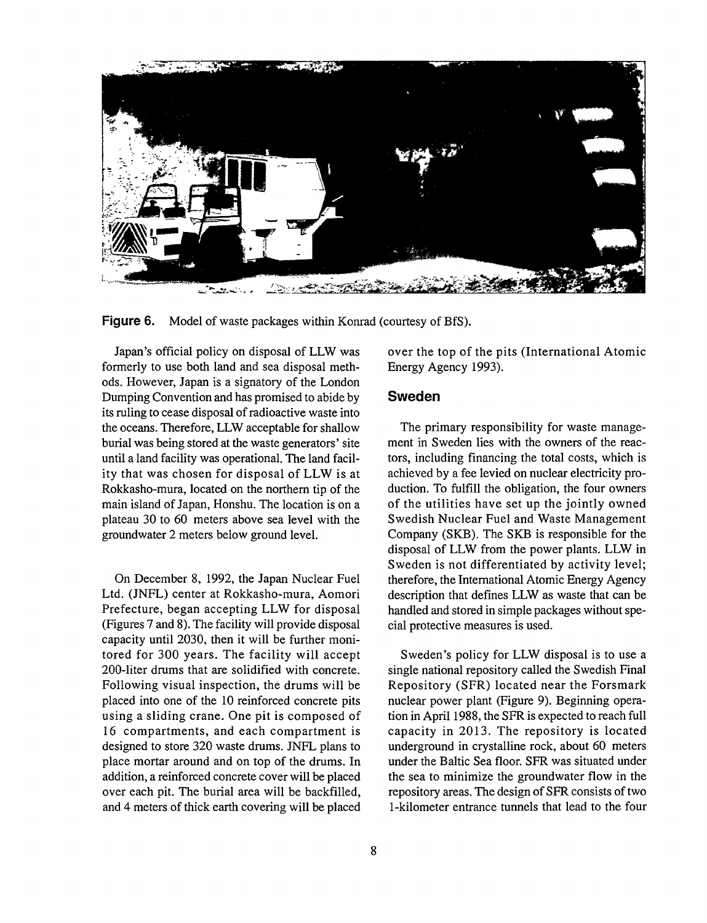

Figure 6. Model of waste packages within Konrad (courtesy of BfS).

Japan's official policy on disposal of LLW was formerly to use both land and sea disposal methods. However, Japan is a signatory of the London Dumping Convention and has promised to abide by its ruling to cease disposal of radioactive waste into the oceans. Therefore, LLW acceptable for shallow burial was being stored at the waste generators' site until a land facility was operational. The land facility that was chosen for disposal of LLW is at Rokkasho-mura, located on the northern tip of the main island of Japan, Honshu. The location is on a plateau 30 to 60 meters above sea level with the groundwater 2 meters below ground level.

On December 8, 1992, the Japan Nuclear Fuel Ltd. (JNFL) center at Rokkasho-mura, Aomori Prefecture, began accepting LLW for disposal (Figures 7 and 8). The facility will provide disposal capacity until 2030, then it will be further monitored for 300 years. The facility will accept 200-liter drums that are solidified with concrete. Following visual inspection, the drums will be placed into one of the 10 reinforced concrete pits using a sliding crane. One pit is composed of 16 compartments, and each compartment is designed to store 320 waste drums. JNFL plans to place mortar around and on top of the drums. In addition, a reinforced concrete cover will be placed over each pit. The burial area will be backfilled, and 4 meters of thick earth covering will be placed

over the top of the pits (International Atomic Energy Agency 1993).

#### Sweden

The primary responsibility for waste management in Sweden lies with the owners of the reactors, including financing the total costs, which is achieved by a fee levied on nuclear electricity production. To fulfill the obligation, the four owners of the utilities have set up the jointly owned Swedish Nuclear Fuel and Waste Management Company (SKB). The SKB is responsible for the disposal of LLW from the power plants. LLW in Sweden is not differentiated by activity level; therefore, the International Atomic Energy Agency description that defines LLW as waste that can be handled and stored in simple packages without special protective measures is used.

Sweden's policy for LLW disposal is to use a single national repository called the Swedish Final Repository (SFR) located near the Forsmark nuclear power plant (Figure 9). Beginning operation in April 1988, the SFR is expected to reach full capacity in 2013. The repository is located underground in crystalline rock, about 60 meters under the Baltic Sea floor. SFR was situated under the sea to minimize the groundwater flow in the repository areas. The design of SFR consists of two 1-kilometer entrance tunnels that lead to the four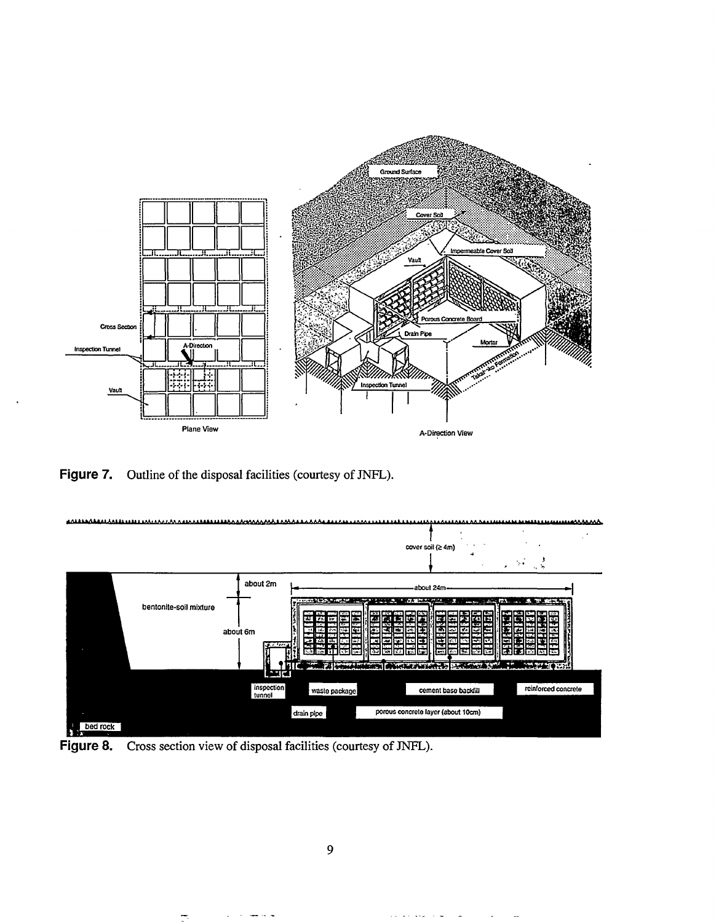

Figure 7. Outline of the disposal facilities (courtesy of JNFL).



Figure 8. Cross section view of disposal facilities (courtesy of JNFL).

9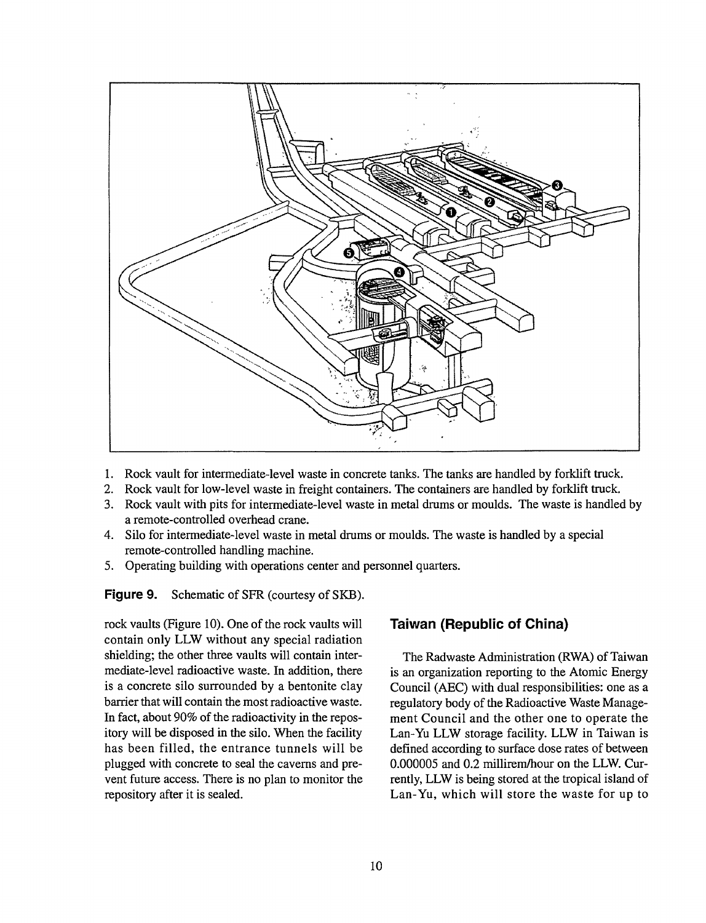

- 1. Rock vault for intermediate-level waste in concrete tanks. The tanks are handled by forklift truck.
- 2. Rock vault for low-level waste in freight containers. The containers are handled by forklift truck.
- 3. Rock vault with pits for intermediate-level waste in metal drums or moulds. The waste is handled by a remote-controlled overhead crane.
- 4. Silo for intermediate-level waste in metal drums or moulds. The waste is handled by a special remote-controlled handling machine.
- 5. Operating building with operations center and personnel quarters.

**Figure 9.** Schematic of SFR (courtesy of SKB).

rock vaults (Figure 10). One of the rock vaults will contain only LLW without any special radiation shielding; the other three vaults will contain intermediate-level radioactive waste. In addition, there is a concrete silo surrounded by a bentonite clay barrier that will contain the most radioactive waste. In fact, about 90% of the radioactivity in the repository will be disposed in the silo. When the facility has been filled, the entrance tunnels will be plugged with concrete to seal the caverns and prevent future access. There is no plan to monitor the repository after it is sealed.

### Taiwan (Republic of China)

The Radwaste Administration (RWA) of Taiwan is an organization reporting to the Atomic Energy Council (AEC) with dual responsibilities: one as a regulatory body of the Radioactive Waste Management Council and the other one to operate the Lan-Yu LLW storage facility. LLW in Taiwan is defined according to surface dose rates of between 0.000005 and 0.2 millirem/hour on the LLW. Currently, LLW is being stored at the tropical island of Lan-Yu, which will store the waste for up to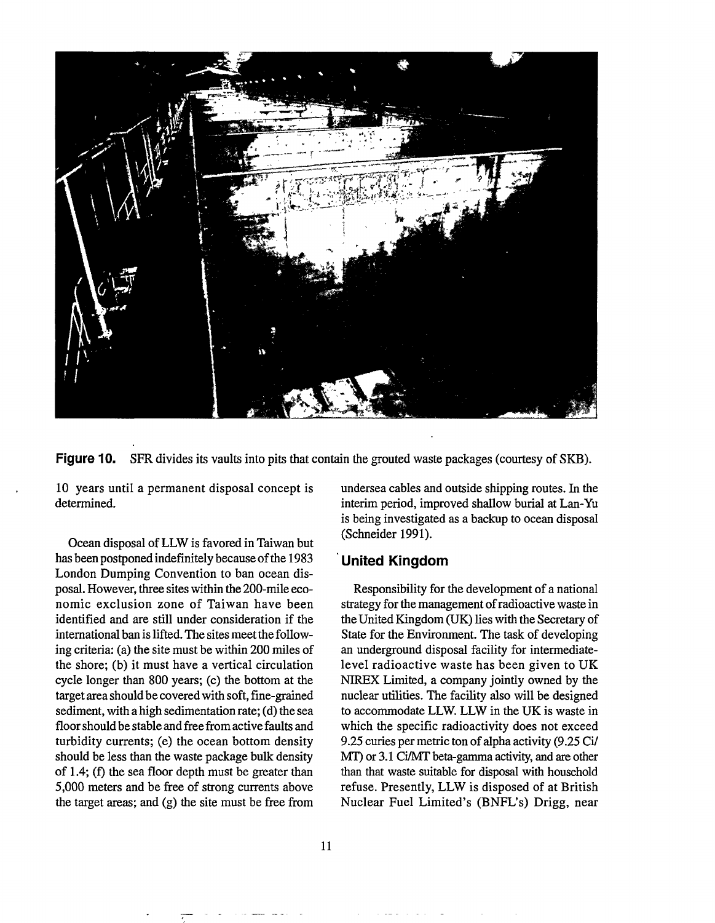



10 years until a permanent disposal concept is determined.

Ocean disposal of LLW is favored in Taiwan but has been postponed indefinitely because of the 1983 London Dumping Convention to ban ocean disposal. However, three sites within the 200-mile economic exclusion zone of Taiwan have been identified and are still under consideration if the international ban is lifted. The sites meet the following criteria: (a) the site must be within 200 miles of the shore; (b) it must have a vertical circulation cycle longer than 800 years; (c) the bottom at the target area should be covered with soft, fine-grained sediment, with a high sedimentation rate; (d) the sea floor should be stable and free from active faults and turbidity currents; (e) the ocean bottom density should be less than the waste package bulk density of 1.4; (f) the sea floor depth must be greater than 5,000 meters and be free of strong currents above the target areas; and (g) the site must be free from

undersea cables and outside shipping routes. In the interim period, improved shallow burial at Lan-Yu is being investigated as a backup to ocean disposal (Schneider 1991).

#### **United Kingdom**

Responsibility for the development of a national strategy for the management of radioactive waste in the United Kingdom (UK) lies with the Secretary of State for the Environment. The task of developing an underground disposal facility for intermediatelevel radioactive waste has been given to UK NIREX Limited, a company jointly owned by the nuclear utilities. The facility also will be designed to accommodate LLW. LLW in the UK is waste in which the specific radioactivity does not exceed 9.25 curies per metric ton of alpha activity (9.25 Ci/ MT) or 3.1 Ci/MT beta-gamma activity, and are other than that waste suitable for disposal with household refuse. Presently, LLW is disposed of at British Nuclear Fuel Limited's (BNFL's) Drigg, near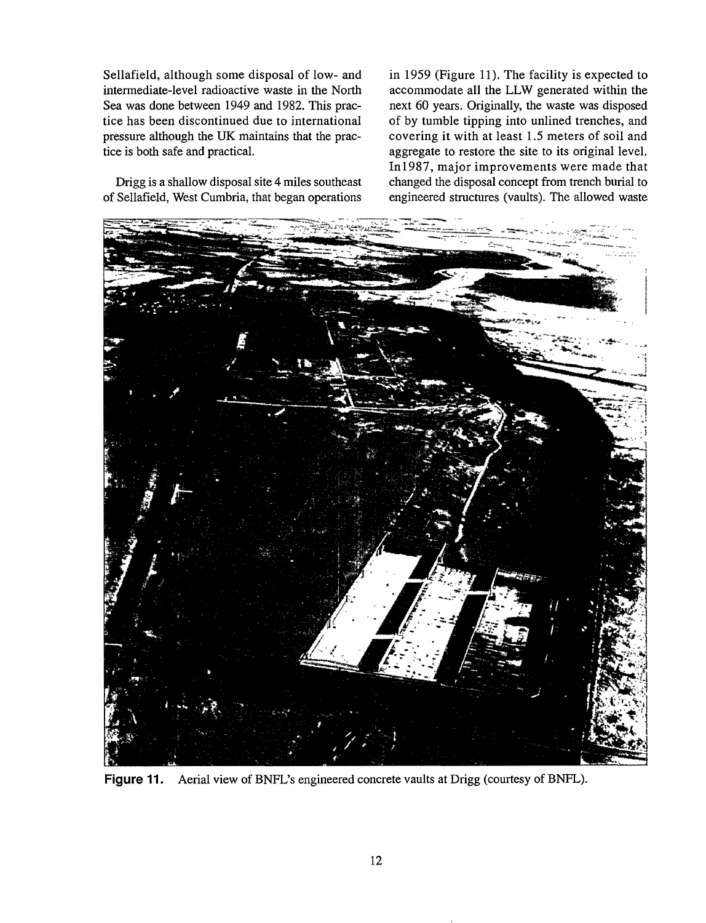Sellafield, although some disposal of low- and intermediate-level radioactive waste in the North Sea was done between 1949 and 1982. This practice has been discontinued due to international pressure although the UK maintains that the practice is both safe and practical.

Drigg is a shallow disposal site 4 miles southeast of Sellafield, West Cumbria, that began operations

in 1959 (Figure 11). The facility is expected to accommodate all the LLW generated within the next 60 years. Originally, the waste was disposed of by tumble tipping into unlined trenches, and covering it with at least 1.5 meters of soil and aggregate to restore the site to its original level. Inl987, major improvements were made that changed the disposal concept from trench burial to engineered structures (vaults). The allowed waste



**Figure 11**. Aerial view of BNFL's engineered concrete vaults at Drigg (courtesy of BNFL).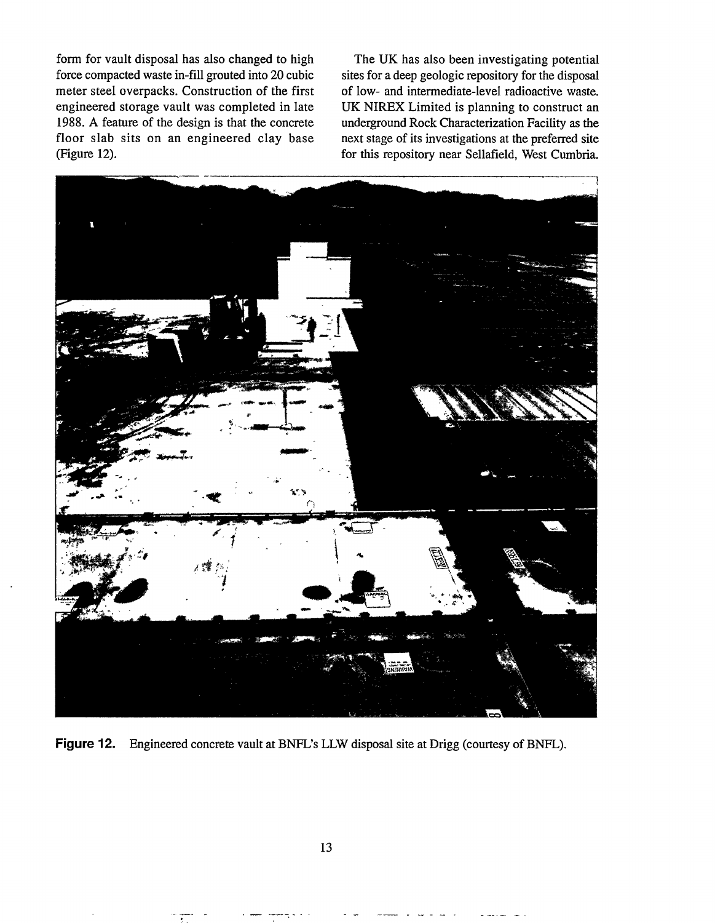form for vault disposal has also changed to high force compacted waste in-fill grouted into 20 cubic meter steel overpacks. Construction of the first engineered storage vault was completed in late 1988. A feature of the design is that the concrete floor slab sits on an engineered clay base (Figure 12).

The UK has also been investigating potential sites for a deep geologic repository for the disposal of low- and intermediate-level radioactive waste. UK NIREX Limited is planning to construct an underground Rock Characterization Facility as the next stage of its investigations at the preferred site for this repository near Sellafield, West Cumbria.



**Figure 12.** Engineered concrete vault at BNFL's LLW disposal site at Drigg (courtesy of BNFL).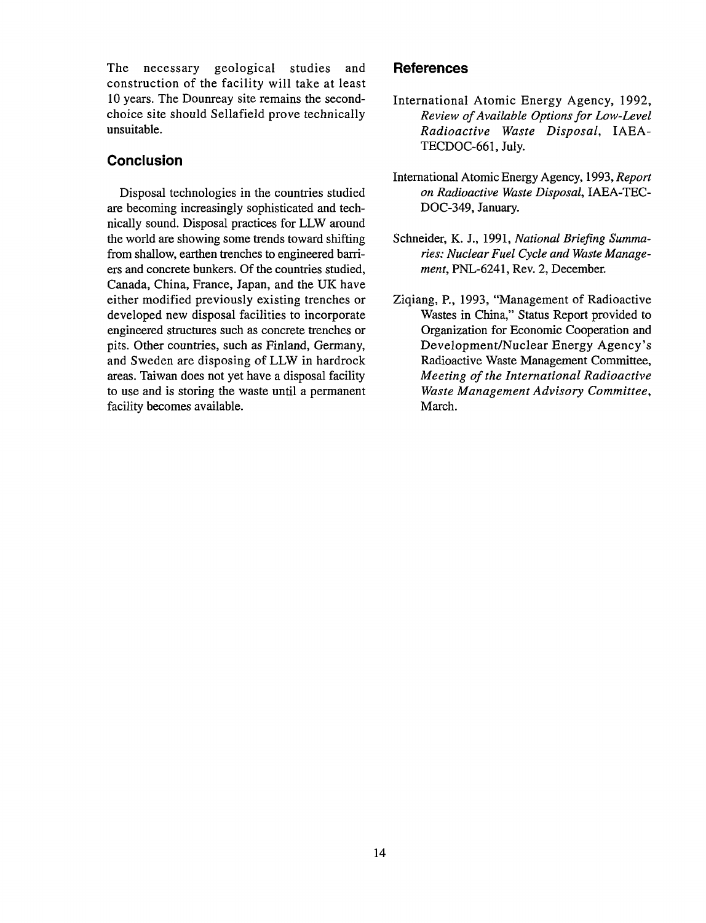The necessary geological studies and construction of the facility will take at least 10 years. The Dounreay site remains the secondchoice site should Sellafield prove technically unsuitable.

## **Conclusion**

Disposal technologies in the countries studied are becoming increasingly sophisticated and technically sound. Disposal practices for LLW around the world are showing some trends toward shifting from shallow, earthen trenches to engineered barriers and concrete bunkers. Of the countries studied, Canada, China, France, Japan, and the UK have either modified previously existing trenches or developed new disposal facilities to incorporate engineered structures such as concrete trenches or pits. Other countries, such as Finland, Germany, and Sweden are disposing of LLW in hardrock areas. Taiwan does not yet have a disposal facility to use and is storing the waste until a permanent facility becomes available.

#### References

- International Atomic Energy Agency, 1992, *Review of Available Options for Low-Level Radioactive Waste Disposal,* IAEA-TECDOC-661, July.
- International Atomic Energy Agency, 1993, *Report on Radioactive Waste Disposal,* IAEA-TEC-DOC-349, January.
- Schneider, K. J., 1991, *National Briefing Summaries: Nuclear Fuel Cycle and Waste Management,* PNL-6241, Rev. 2, December.
- Ziqiang, P., 1993, "Management of Radioactive Wastes in China," Status Report provided to Organization for Economic Cooperation and Development/Nuclear Energy Agency's Radioactive Waste Management Committee, *Meeting of the International Radioactive Waste Management Advisory Committee,*  March.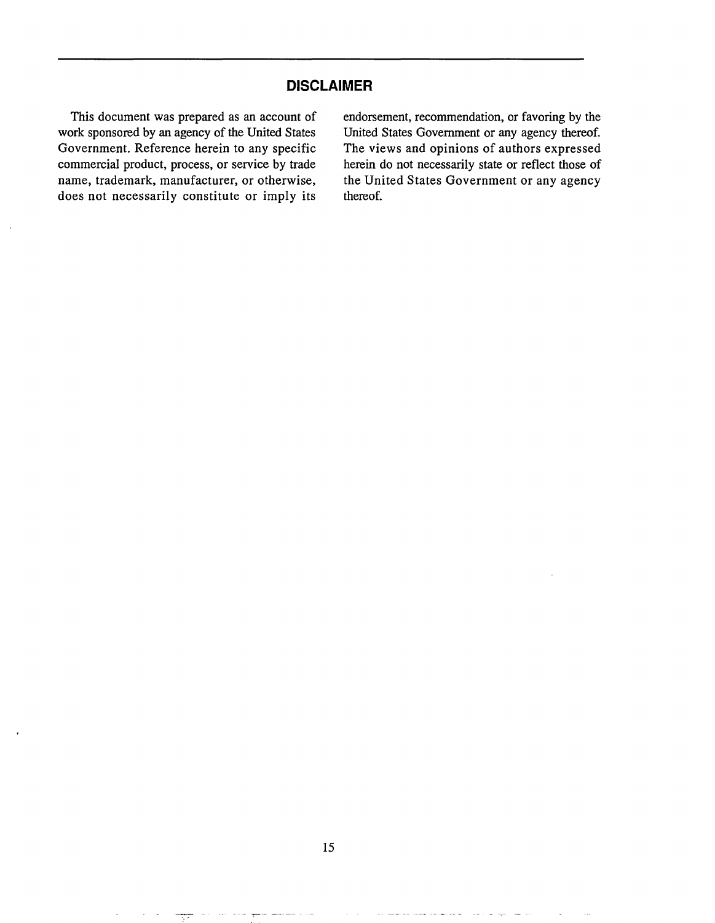## **DISCLAIMER**

This document was prepared as an account of work sponsored by an agency of the United States Government. Reference herein to any specific commercial product, process, or service by trade name, trademark, manufacturer, or otherwise, does not necessarily constitute or imply its endorsement, recommendation, or favoring by the United States Government or any agency thereof. The views and opinions of authors expressed herein do not necessarily state or reflect those of the United States Government or any agency thereof.